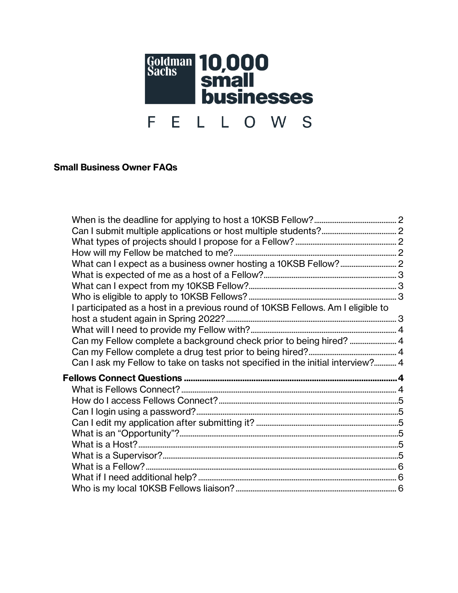

## **Small Business Owner FAQs**

| I participated as a host in a previous round of 10KSB Fellows. Am I eligible to |  |
|---------------------------------------------------------------------------------|--|
|                                                                                 |  |
|                                                                                 |  |
| Can my Fellow complete a background check prior to being hired?  4              |  |
|                                                                                 |  |
| Can I ask my Fellow to take on tasks not specified in the initial interview? 4  |  |
|                                                                                 |  |
|                                                                                 |  |
|                                                                                 |  |
|                                                                                 |  |
|                                                                                 |  |
|                                                                                 |  |
|                                                                                 |  |
|                                                                                 |  |
|                                                                                 |  |
|                                                                                 |  |
|                                                                                 |  |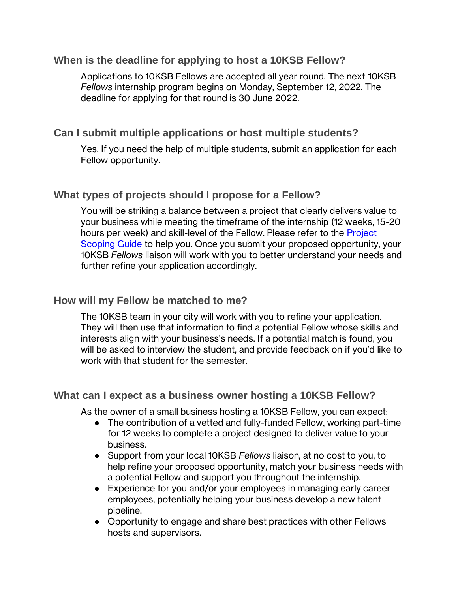## <span id="page-1-0"></span>**When is the deadline for applying to host a 10KSB Fellow?**

Applications to 10KSB Fellows are accepted all year round. The next 10KSB *Fellows* internship program begins on Monday, September 12, 2022. The deadline for applying for that round is 30 June 2022.

## <span id="page-1-1"></span>**Can I submit multiple applications or host multiple students?**

Yes. If you need the help of multiple students, submit an application for each Fellow opportunity.

### <span id="page-1-2"></span>**What types of projects should I propose for a Fellow?**

You will be striking a balance between a project that clearly delivers value to your business while meeting the timeframe of the internship (12 weeks, 15-20 hours per week) and skill-level of the Fellow. Please refer to the Project [Scoping Guide](https://10ksbfellows.com/pdfs/10KSB-Fellows-Hosts-Project-Scoping-Guide.pdf) to help you. Once you submit your proposed opportunity, your 10KSB *Fellows* liaison will work with you to better understand your needs and further refine your application accordingly.

### <span id="page-1-3"></span>**How will my Fellow be matched to me?**

The 10KSB team in your city will work with you to refine your application. They will then use that information to find a potential Fellow whose skills and interests align with your business's needs. If a potential match is found, you will be asked to interview the student, and provide feedback on if you'd like to work with that student for the semester.

### <span id="page-1-4"></span>**What can I expect as a business owner hosting a 10KSB Fellow?**

As the owner of a small business hosting a 10KSB Fellow, you can expect:

- The contribution of a vetted and fully-funded Fellow, working part-time for 12 weeks to complete a project designed to deliver value to your business.
- Support from your local 10KSB *Fellows* liaison, at no cost to you, to help refine your proposed opportunity, match your business needs with a potential Fellow and support you throughout the internship.
- Experience for you and/or your employees in managing early career employees, potentially helping your business develop a new talent pipeline.
- Opportunity to engage and share best practices with other Fellows hosts and supervisors.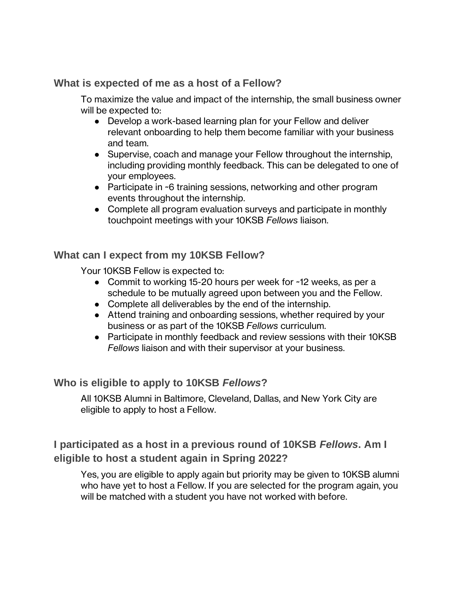# <span id="page-2-0"></span>**What is expected of me as a host of a Fellow?**

To maximize the value and impact of the internship, the small business owner will be expected to:

- Develop a work-based learning plan for your Fellow and deliver relevant onboarding to help them become familiar with your business and team.
- Supervise, coach and manage your Fellow throughout the internship, including providing monthly feedback. This can be delegated to one of your employees.
- Participate in ~6 training sessions, networking and other program events throughout the internship.
- Complete all program evaluation surveys and participate in monthly touchpoint meetings with your 10KSB *Fellows* liaison.

# <span id="page-2-1"></span>**What can I expect from my 10KSB Fellow?**

Your 10KSB Fellow is expected to:

- Commit to working 15-20 hours per week for ~12 weeks, as per a schedule to be mutually agreed upon between you and the Fellow.
- Complete all deliverables by the end of the internship.
- Attend training and onboarding sessions, whether required by your business or as part of the 10KSB *Fellows* curriculum.
- Participate in monthly feedback and review sessions with their 10KSB *Fellows* liaison and with their supervisor at your business.

# <span id="page-2-2"></span>**Who is eligible to apply to 10KSB** *Fellows***?**

All 10KSB Alumni in Baltimore, Cleveland, Dallas, and New York City are eligible to apply to host a Fellow.

# <span id="page-2-3"></span>**I participated as a host in a previous round of 10KSB** *Fellows***. Am I eligible to host a student again in Spring 2022?**

Yes, you are eligible to apply again but priority may be given to 10KSB alumni who have yet to host a Fellow. If you are selected for the program again, you will be matched with a student you have not worked with before.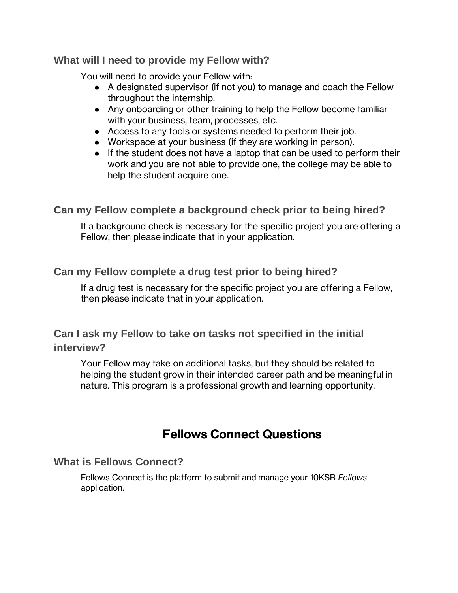### <span id="page-3-0"></span>**What will I need to provide my Fellow with?**

You will need to provide your Fellow with:

- A designated supervisor (if not you) to manage and coach the Fellow throughout the internship.
- Any onboarding or other training to help the Fellow become familiar with your business, team, processes, etc.
- Access to any tools or systems needed to perform their job.
- Workspace at your business (if they are working in person).
- If the student does not have a laptop that can be used to perform their work and you are not able to provide one, the college may be able to help the student acquire one.

# <span id="page-3-1"></span>**Can my Fellow complete a background check prior to being hired?**

If a background check is necessary for the specific project you are offering a Fellow, then please indicate that in your application.

# <span id="page-3-2"></span>**Can my Fellow complete a drug test prior to being hired?**

If a drug test is necessary for the specific project you are offering a Fellow, then please indicate that in your application.

# <span id="page-3-3"></span>**Can I ask my Fellow to take on tasks not specified in the initial interview?**

Your Fellow may take on additional tasks, but they should be related to helping the student grow in their intended career path and be meaningful in nature. This program is a professional growth and learning opportunity.

# **Fellows Connect Questions**

# <span id="page-3-5"></span><span id="page-3-4"></span>**What is Fellows Connect?**

Fellows Connect is the platform to submit and manage your 10KSB *Fellows* application.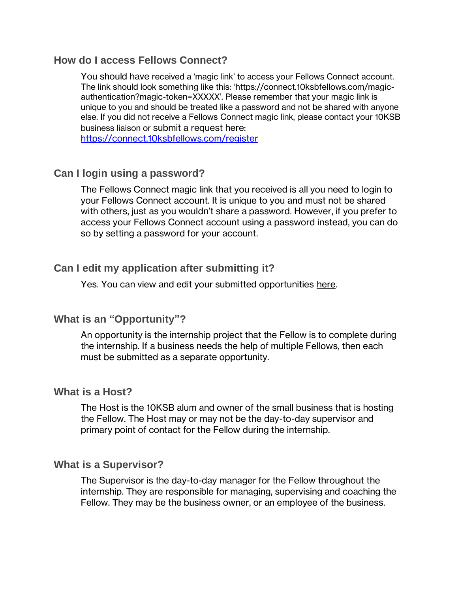#### <span id="page-4-0"></span>**How do I access Fellows Connect?**

You should have received a 'magic link' to access your Fellows Connect account. The link should look something like this: '[https://connect.10ksbfellows.com/magic](http://url6780.10ksbfellows.com/ls/click?upn=FJNKDGJ1pBpKRAb9pkKei-2F6-2BCoXk9rRPrA9ZRy1-2BdbH-2BiqF9MzsK6r9-2BK1PKa85IEs4sEs-2F6AUYTUIHv1QfhmWKLFs141nevZgy1wb9EJMrfV-2F1KXEIl8YWufnAoGusFWl5DW4t2YPRSXvD13iwNWQ-3D-3D2IA8_cisED4Jwra-2BuqhwGAmCxxuAx4USZ79aoMhay0ww0-2BPatwRBLga4WfycuhT-2FQ1EbHEgFvuyA-2BQhozRtC-2Fe-2FtevoBpO0NlpaK3esNQnwLCPozxIOfPUn2wgdqx8Ej6o-2BAyGduNlHKV7pQAPbx5mJsTskvp3cnTOH-2BY7fXugYSuXH-2BHxpHyWVOfsHOdsjWTZW2ih7k0hX4rVHbrEhKfv376mK1tgaJoKTuG99Ygq4tuu7g-3D)[authentication?magic-token=](http://url6780.10ksbfellows.com/ls/click?upn=FJNKDGJ1pBpKRAb9pkKei-2F6-2BCoXk9rRPrA9ZRy1-2BdbH-2BiqF9MzsK6r9-2BK1PKa85IEs4sEs-2F6AUYTUIHv1QfhmWKLFs141nevZgy1wb9EJMrfV-2F1KXEIl8YWufnAoGusFWl5DW4t2YPRSXvD13iwNWQ-3D-3D2IA8_cisED4Jwra-2BuqhwGAmCxxuAx4USZ79aoMhay0ww0-2BPatwRBLga4WfycuhT-2FQ1EbHEgFvuyA-2BQhozRtC-2Fe-2FtevoBpO0NlpaK3esNQnwLCPozxIOfPUn2wgdqx8Ej6o-2BAyGduNlHKV7pQAPbx5mJsTskvp3cnTOH-2BY7fXugYSuXH-2BHxpHyWVOfsHOdsjWTZW2ih7k0hX4rVHbrEhKfv376mK1tgaJoKTuG99Ygq4tuu7g-3D)XXXXX'. Please remember that your magic link is unique to you and should be treated like a password and not be shared with anyone else. If you did not receive a Fellows Connect magic link, please contact your 10KSB business liaison or submit a request here:

<https://connect.10ksbfellows.com/register>

### <span id="page-4-1"></span>**Can I login using a password?**

The Fellows Connect magic link that you received is all you need to login to your Fellows Connect account. It is unique to you and must not be shared with others, just as you wouldn't share a password. However, if you prefer to access your Fellows Connect account using a password instead, you can do so by [setting a password for your account.](https://connect.10ksbfellows.com/generate-password)

### <span id="page-4-2"></span>**Can I edit my application after submitting it?**

Yes. You can view and edit your submitted opportunities [here.](https://connect.10ksbfellows.com/opportunities/#manage-opps)

### <span id="page-4-3"></span>**What is an "Opportunity"?**

An opportunity is the internship project that the Fellow is to complete during the internship. If a business needs the help of multiple Fellows, then each must be submitted as a separate opportunity.

#### <span id="page-4-4"></span>**What is a Host?**

The Host is the 10KSB alum and owner of the small business that is hosting the Fellow. The Host may or may not be the day-to-day supervisor and primary point of contact for the Fellow during the internship.

#### <span id="page-4-5"></span>**What is a Supervisor?**

The Supervisor is the day-to-day manager for the Fellow throughout the internship. They are responsible for managing, supervising and coaching the Fellow. They may be the business owner, or an employee of the business.